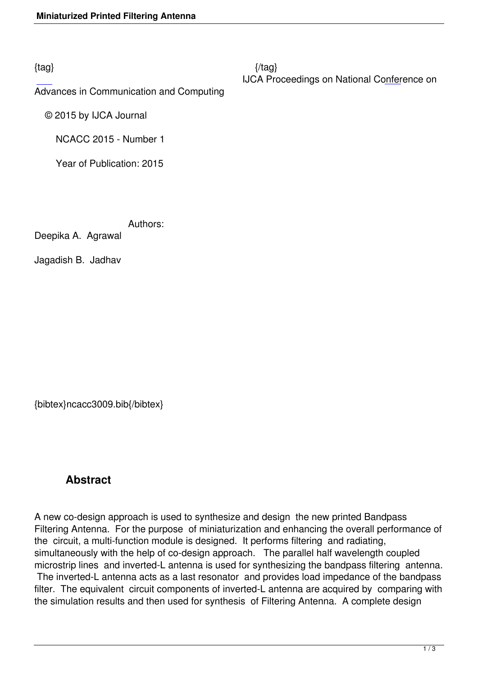Advances in Communication and Computing

 [©](http://research.ijcaonline.org/ncacc2015/number1/ncacc3009.pdf) 2015 by IJCA Journal

NCACC 2015 - Number 1

Year of Publication: 2015

Authors:

Deepika A. Agrawal

Jagadish B. Jadhav

{bibtex}ncacc3009.bib{/bibtex}

## **Abstract**

A new co-design approach is used to synthesize and design the new printed Bandpass Filtering Antenna. For the purpose of miniaturization and enhancing the overall performance of the circuit, a multi-function module is designed. It performs filtering and radiating, simultaneously with the help of co-design approach. The parallel half wavelength coupled microstrip lines and inverted-L antenna is used for synthesizing the bandpass filtering antenna. The inverted-L antenna acts as a last resonator and provides load impedance of the bandpass filter. The equivalent circuit components of inverted-L antenna are acquired by comparing with the simulation results and then used for synthesis of Filtering Antenna. A complete design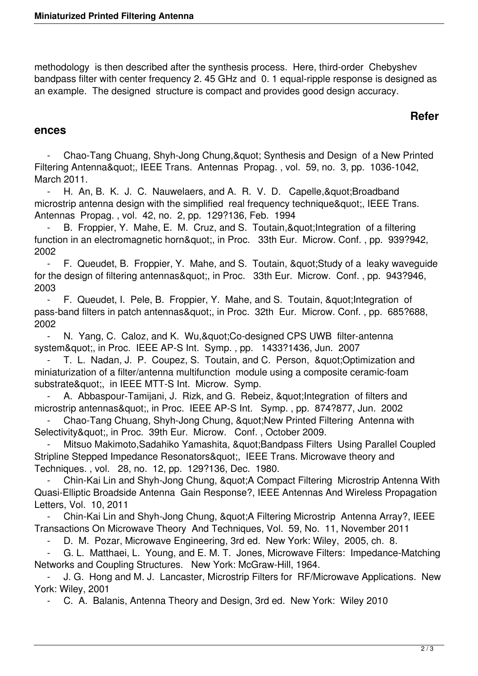methodology is then described after the synthesis process. Here, third-order Chebyshev bandpass filter with center frequency 2. 45 GHz and 0. 1 equal-ripple response is designed as an example. The designed structure is compact and provides good design accuracy.

## **Refer**

## **ences**

Chao-Tang Chuang, Shyh-Jong Chung, & quot; Synthesis and Design of a New Printed Filtering Antenna", IEEE Trans. Antennas Propag., vol. 59, no. 3, pp. 1036-1042, March 2011.

- H. An, B. K. J. C. Nauwelaers, and A. R. V. D. Capelle, & quot; Broadband microstrip antenna design with the simplified real frequency technique", IEEE Trans. Antennas Propag. , vol. 42, no. 2, pp. 129?136, Feb. 1994

B. Froppier, Y. Mahe, E. M. Cruz, and S. Toutain, & quot; Integration of a filtering function in an electromagnetic horn", in Proc. 33th Eur. Microw. Conf., pp. 939?942, 2002

- F. Queudet, B. Froppier, Y. Mahe, and S. Toutain, & quot; Study of a leaky waveguide for the design of filtering antennas", in Proc. 33th Eur. Microw. Conf., pp. 943?946, 2003

- F. Queudet, I. Pele, B. Froppier, Y. Mahe, and S. Toutain, & quot; Integration of pass-band filters in patch antennas", in Proc. 32th Eur. Microw. Conf., pp. 685?688, 2002

- N. Yang, C. Caloz, and K. Wu," Co-designed CPS UWB filter-antenna system", in Proc. IEEE AP-S Int. Symp., pp. 1433?1436, Jun. 2007

T. L. Nadan, J. P. Coupez, S. Toutain, and C. Person, "Optimization and miniaturization of a filter/antenna multifunction module using a composite ceramic-foam substrate", in IEEE MTT-S Int. Microw. Symp.

A. Abbaspour-Tamijani, J. Rizk, and G. Rebeiz, " Integration of filters and microstrip antennas", in Proc. IEEE AP-S Int. Symp., pp. 874?877, Jun. 2002

Chao-Tang Chuang, Shyh-Jong Chung, "New Printed Filtering Antenna with Selectivity", in Proc. 39th Eur. Microw. Conf., October 2009.

Mitsuo Makimoto, Sadahiko Yamashita, &guot; Bandpass Filters Using Parallel Coupled Stripline Stepped Impedance Resonators", IEEE Trans. Microwave theory and Techniques. , vol. 28, no. 12, pp. 129?136, Dec. 1980.

Chin-Kai Lin and Shyh-Jong Chung, " A Compact Filtering Microstrip Antenna With Quasi-Elliptic Broadside Antenna Gain Response?, IEEE Antennas And Wireless Propagation Letters, Vol. 10, 2011

Chin-Kai Lin and Shyh-Jong Chung, " A Filtering Microstrip Antenna Array?, IEEE Transactions On Microwave Theory And Techniques, Vol. 59, No. 11, November 2011

D. M. Pozar, Microwave Engineering, 3rd ed. New York: Wiley, 2005, ch. 8.

G. L. Matthaei, L. Young, and E. M. T. Jones, Microwave Filters: Impedance-Matching Networks and Coupling Structures. New York: McGraw-Hill, 1964.

 - J. G. Hong and M. J. Lancaster, Microstrip Filters for RF/Microwave Applications. New York: Wiley, 2001

- C. A. Balanis, Antenna Theory and Design, 3rd ed. New York: Wiley 2010